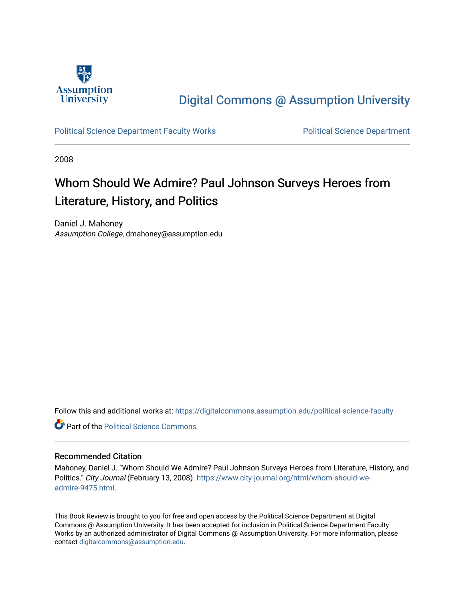

### [Digital Commons @ Assumption University](https://digitalcommons.assumption.edu/)

#### [Political Science Department Faculty Works](https://digitalcommons.assumption.edu/political-science-faculty) **Political Science Department**

2008

# Whom Should We Admire? Paul Johnson Surveys Heroes from Literature, History, and Politics

Daniel J. Mahoney Assumption College, dmahoney@assumption.edu

Follow this and additional works at: [https://digitalcommons.assumption.edu/political-science-faculty](https://digitalcommons.assumption.edu/political-science-faculty?utm_source=digitalcommons.assumption.edu%2Fpolitical-science-faculty%2F56&utm_medium=PDF&utm_campaign=PDFCoverPages)

**C** Part of the Political Science Commons

#### Recommended Citation

Mahoney, Daniel J. "Whom Should We Admire? Paul Johnson Surveys Heroes from Literature, History, and Politics." City Journal (February 13, 2008). [https://www.city-journal.org/html/whom-should-we](https://www.city-journal.org/html/whom-should-we-admire-9475.html)[admire-9475.html.](https://www.city-journal.org/html/whom-should-we-admire-9475.html)

This Book Review is brought to you for free and open access by the Political Science Department at Digital Commons @ Assumption University. It has been accepted for inclusion in Political Science Department Faculty Works by an authorized administrator of Digital Commons @ Assumption University. For more information, please contact [digitalcommons@assumption.edu.](mailto:digitalcommons@assumption.edu)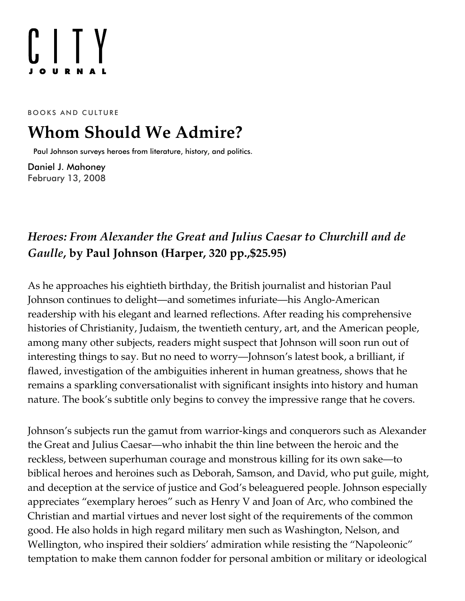# $[]$   $[]$   $Y$

BOOKS AND CULTURE

# **Whom Should We Admire?**

Paul Johnson surveys heroes from literature, history, and politics.

[Daniel J. Mahoney](https://www.city-journal.org/contributor/daniel-j-mahoney_578) February 13, 2008

## *Heroes: From Alexander the Great and Julius Caesar to Churchill and de Gaulle***, by Paul Johnson (Harper, 320 [pp.,\\$25.95\)](http://www.amazon.com/exec/obidos/ASIN/0061143162/manhattaninstitu/)**

As he approaches his eightieth birthday, the British journalist and historian Paul Johnson continues to delight—and sometimes infuriate—his Anglo-American readership with his elegant and learned reflections. After reading his comprehensive histories of Christianity, Judaism, the twentieth century, art, and the American people, among many other subjects, readers might suspect that Johnson will soon run out of interesting things to say. But no need to worry—Johnson's latest book, a brilliant, if flawed, investigation of the ambiguities inherent in human greatness, shows that he remains a sparkling conversationalist with significant insights into history and human nature. The book's subtitle only begins to convey the impressive range that he covers.

Johnson's subjects run the gamut from warrior-kings and conquerors such as Alexander the Great and Julius Caesar—who inhabit the thin line between the heroic and the reckless, between superhuman courage and monstrous killing for its own sake—to biblical heroes and heroines such as Deborah, Samson, and David, who put guile, might, and deception at the service of justice and God's beleaguered people. Johnson especially appreciates "exemplary heroes" such as Henry V and Joan of Arc, who combined the Christian and martial virtues and never lost sight of the requirements of the common good. He also holds in high regard military men such as Washington, Nelson, and Wellington, who inspired their soldiers' admiration while resisting the "Napoleonic" temptation to make them cannon fodder for personal ambition or military or ideological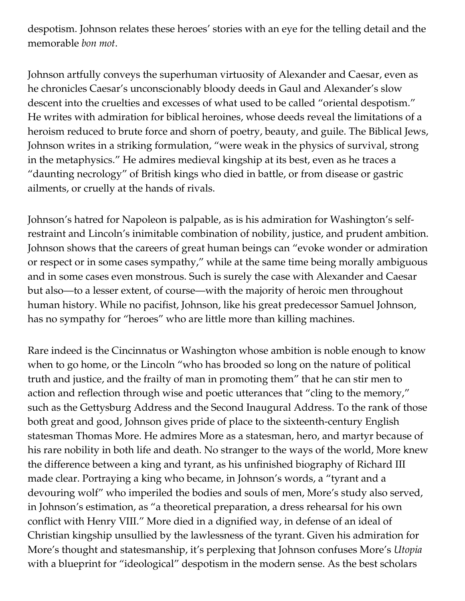despotism. Johnson relates these heroes' stories with an eye for the telling detail and the memorable *bon mot*.

Johnson artfully conveys the superhuman virtuosity of Alexander and Caesar, even as he chronicles Caesar's unconscionably bloody deeds in Gaul and Alexander's slow descent into the cruelties and excesses of what used to be called "oriental despotism." He writes with admiration for biblical heroines, whose deeds reveal the limitations of a heroism reduced to brute force and shorn of poetry, beauty, and guile. The Biblical Jews, Johnson writes in a striking formulation, "were weak in the physics of survival, strong in the metaphysics." He admires medieval kingship at its best, even as he traces a "daunting necrology" of British kings who died in battle, or from disease or gastric ailments, or cruelly at the hands of rivals.

Johnson's hatred for Napoleon is palpable, as is his admiration for Washington's selfrestraint and Lincoln's inimitable combination of nobility, justice, and prudent ambition. Johnson shows that the careers of great human beings can "evoke wonder or admiration or respect or in some cases sympathy," while at the same time being morally ambiguous and in some cases even monstrous. Such is surely the case with Alexander and Caesar but also—to a lesser extent, of course—with the majority of heroic men throughout human history. While no pacifist, Johnson, like his great predecessor Samuel Johnson, has no sympathy for "heroes" who are little more than killing machines.

Rare indeed is the Cincinnatus or Washington whose ambition is noble enough to know when to go home, or the Lincoln "who has brooded so long on the nature of political truth and justice, and the frailty of man in promoting them" that he can stir men to action and reflection through wise and poetic utterances that "cling to the memory," such as the Gettysburg Address and the Second Inaugural Address. To the rank of those both great and good, Johnson gives pride of place to the sixteenth-century English statesman Thomas More. He admires More as a statesman, hero, and martyr because of his rare nobility in both life and death. No stranger to the ways of the world, More knew the difference between a king and tyrant, as his unfinished biography of Richard III made clear. Portraying a king who became, in Johnson's words, a "tyrant and a devouring wolf" who imperiled the bodies and souls of men, More's study also served, in Johnson's estimation, as "a theoretical preparation, a dress rehearsal for his own conflict with Henry VIII." More died in a dignified way, in defense of an ideal of Christian kingship unsullied by the lawlessness of the tyrant. Given his admiration for More's thought and statesmanship, it's perplexing that Johnson confuses More's *Utopia* with a blueprint for "ideological" despotism in the modern sense. As the best scholars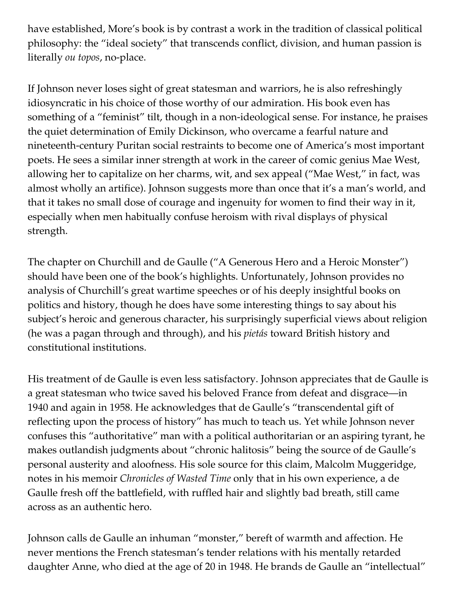have established, More's book is by contrast a work in the tradition of classical political philosophy: the "ideal society" that transcends conflict, division, and human passion is literally *ou topos*, no-place.

If Johnson never loses sight of great statesman and warriors, he is also refreshingly idiosyncratic in his choice of those worthy of our admiration. His book even has something of a "feminist" tilt, though in a non-ideological sense. For instance, he praises the quiet determination of Emily Dickinson, who overcame a fearful nature and nineteenth-century Puritan social restraints to become one of America's most important poets. He sees a similar inner strength at work in the career of comic genius Mae West, allowing her to capitalize on her charms, wit, and sex appeal ("Mae West," in fact, was almost wholly an artifice). Johnson suggests more than once that it's a man's world, and that it takes no small dose of courage and ingenuity for women to find their way in it, especially when men habitually confuse heroism with rival displays of physical strength.

The chapter on Churchill and de Gaulle ("A Generous Hero and a Heroic Monster") should have been one of the book's highlights. Unfortunately, Johnson provides no analysis of Churchill's great wartime speeches or of his deeply insightful books on politics and history, though he does have some interesting things to say about his subject's heroic and generous character, his surprisingly superficial views about religion (he was a pagan through and through), and his *pietás* toward British history and constitutional institutions.

His treatment of de Gaulle is even less satisfactory. Johnson appreciates that de Gaulle is a great statesman who twice saved his beloved France from defeat and disgrace—in 1940 and again in 1958. He acknowledges that de Gaulle's "transcendental gift of reflecting upon the process of history" has much to teach us. Yet while Johnson never confuses this "authoritative" man with a political authoritarian or an aspiring tyrant, he makes outlandish judgments about "chronic halitosis" being the source of de Gaulle's personal austerity and aloofness. His sole source for this claim, Malcolm Muggeridge, notes in his memoir *Chronicles of Wasted Time* only that in his own experience, a de Gaulle fresh off the battlefield, with ruffled hair and slightly bad breath, still came across as an authentic hero.

Johnson calls de Gaulle an inhuman "monster," bereft of warmth and affection. He never mentions the French statesman's tender relations with his mentally retarded daughter Anne, who died at the age of 20 in 1948. He brands de Gaulle an "intellectual"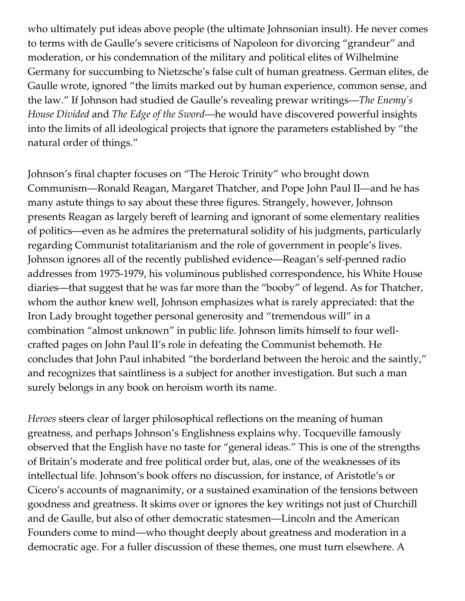who ultimately put ideas above people (the ultimate Johnsonian insult). He never comes to terms with de Gaulle's severe criticisms of Napoleon for divorcing "grandeur" and moderation, or his condemnation of the military and political elites of Wilhelmine Germany for succumbing to Nietzsche's false cult of human greatness. German elites, de Gaulle wrote, ignored "the limits marked out by human experience, common sense, and the law." If Johnson had studied de Gaulle's revealing prewar writings—*The Enemy's House Divided* and *The Edge of the Sword*—he would have discovered powerful insights into the limits of all ideological projects that ignore the parameters established by "the natural order of things."

Johnson's final chapter focuses on "The Heroic Trinity" who brought down Communism—Ronald Reagan, Margaret Thatcher, and Pope John Paul II—and he has many astute things to say about these three figures. Strangely, however, Johnson presents Reagan as largely bereft of learning and ignorant of some elementary realities of politics—even as he admires the preternatural solidity of his judgments, particularly regarding Communist totalitarianism and the role of government in people's lives. Johnson ignores all of the recently published evidence—Reagan's self-penned radio addresses from 1975-1979, his voluminous published correspondence, his White House diaries—that suggest that he was far more than the "booby" of legend. As for Thatcher, whom the author knew well, Johnson emphasizes what is rarely appreciated: that the Iron Lady brought together personal generosity and "tremendous will" in a combination "almost unknown" in public life. Johnson limits himself to four wellcrafted pages on John Paul II's role in defeating the Communist behemoth. He concludes that John Paul inhabited "the borderland between the heroic and the saintly," and recognizes that saintliness is a subject for another investigation. But such a man surely belongs in any book on heroism worth its name.

*Heroes* steers clear of larger philosophical reflections on the meaning of human greatness, and perhaps Johnson's Englishness explains why. Tocqueville famously observed that the English have no taste for "general ideas." This is one of the strengths of Britain's moderate and free political order but, alas, one of the weaknesses of its intellectual life. Johnson's book offers no discussion, for instance, of Aristotle's or Cicero's accounts of magnanimity, or a sustained examination of the tensions between goodness and greatness. It skims over or ignores the key writings not just of Churchill and de Gaulle, but also of other democratic statesmen—Lincoln and the American Founders come to mind—who thought deeply about greatness and moderation in a democratic age. For a fuller discussion of these themes, one must turn elsewhere. A